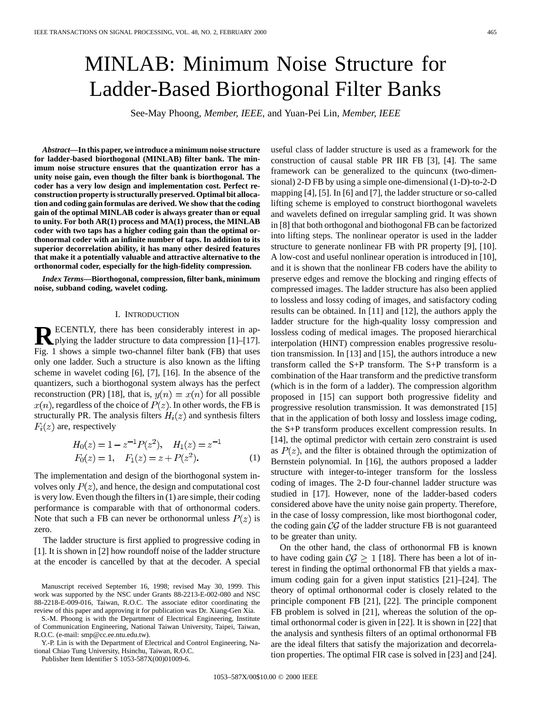# MINLAB: Minimum Noise Structure for Ladder-Based Biorthogonal Filter Banks

See-May Phoong*, Member, IEEE,* and Yuan-Pei Lin*, Member, IEEE*

*Abstract—***In this paper, we introduce a minimum noise structure for ladder-based biorthogonal (MINLAB) filter bank. The minimum noise structure ensures that the quantization error has a unity noise gain, even though the filter bank is biorthogonal. The coder has a very low design and implementation cost. Perfect reconstruction property is structurally preserved. Optimal bit allocation and coding gain formulas are derived. We show that the coding gain of the optimal MINLAB coder is always greater than or equal to unity. For both AR(1) process and MA(1) process, the MINLAB coder with two taps has a higher coding gain than the optimal orthonormal coder with an infinite number of taps. In addition to its superior decorrelation ability, it has many other desired features that make it a potentially valuable and attractive alternative to the orthonormal coder, especially for the high-fidelity compression.**

*Index Terms—***Biorthogonal, compression, filter bank, minimum noise, subband coding, wavelet coding.**

#### I. INTRODUCTION

**RECENTLY, there has been considerably interest in applying the ladder structure to data compression [1]–[17].** Fig. 1 shows a simple two-channel filter bank (FB) that uses only one ladder. Such a structure is also known as the lifting scheme in wavelet coding [6], [7], [16]. In the absence of the quantizers, such a biorthogonal system always has the perfect reconstruction (PR) [18], that is,  $y(n) = x(n)$  for all possible  $x(n)$ , regardless of the choice of  $P(z)$ . In other words, the FB is structurally PR. The analysis filters  $H_i(z)$  and synthesis filters  $F_i(z)$  are, respectively

$$
H_0(z) = 1 - z^{-1} P(z^2), \quad H_1(z) = z^{-1}
$$
  
\n
$$
F_0(z) = 1, \quad F_1(z) = z + P(z^2).
$$
 (1)

The implementation and design of the biorthogonal system involves only  $P(z)$ , and hence, the design and computational cost is very low. Even though the filters in (1) are simple, their coding performance is comparable with that of orthonormal coders. Note that such a FB can never be orthonormal unless  $P(z)$  is zero.

The ladder structure is first applied to progressive coding in [1]. It is shown in [2] how roundoff noise of the ladder structure at the encoder is cancelled by that at the decoder. A special

Manuscript received September 16, 1998; revised May 30, 1999. This work was supported by the NSC under Grants 88-2213-E-002-080 and NSC 88-2218-E-009-016, Taiwan, R.O.C. The associate editor coordinating the review of this paper and approving it for publication was Dr. Xiang-Gen Xia.

S.-M. Phoong is with the Department of Electrical Engineering, Institute of Communication Engineering, National Taiwan University, Taipei, Taiwan, R.O.C. (e-mail: smp@cc.ee.ntu.edu.tw).

Y.-P. Lin is with the Department of Electrical and Control Engineering, National Chiao Tung University, Hsinchu, Taiwan, R.O.C.

Publisher Item Identifier S 1053-587X(00)01009-6.

useful class of ladder structure is used as a framework for the construction of causal stable PR IIR FB [3], [4]. The same framework can be generalized to the quincunx (two-dimensional) 2-D FB by using a simple one-dimensional (1-D)-to-2-D mapping [4], [5]. In [6] and [7], the ladder structure or so-called lifting scheme is employed to construct biorthogonal wavelets and wavelets defined on irregular sampling grid. It was shown in [8] that both orthogonal and biothogonal FB can be factorized into lifting steps. The nonlinear operator is used in the ladder structure to generate nonlinear FB with PR property [9], [10]. A low-cost and useful nonlinear operation is introduced in [10], and it is shown that the nonlinear FB coders have the ability to preserve edges and remove the blocking and ringing effects of compressed images. The ladder structure has also been applied to lossless and lossy coding of images, and satisfactory coding results can be obtained. In [11] and [12], the authors apply the ladder structure for the high-quality lossy compression and lossless coding of medical images. The proposed hierarchical interpolation (HINT) compression enables progressive resolution transmission. In [13] and [15], the authors introduce a new transform called the S+P transform. The S+P transform is a combination of the Haar transform and the predictive transform (which is in the form of a ladder). The compression algorithm proposed in [15] can support both progressive fidelity and progressive resolution transmission. It was demonstrated [15] that in the application of both lossy and lossless image coding, the S+P transform produces excellent compression results. In [14], the optimal predictor with certain zero constraint is used as  $P(z)$ , and the filter is obtained through the optimization of Bernstein polynomial. In [16], the authors proposed a ladder structure with integer-to-integer transform for the lossless coding of images. The 2-D four-channel ladder structure was studied in [17]. However, none of the ladder-based coders considered above have the unity noise gain property. Therefore, in the case of lossy compression, like most biorthogonal coder, the coding gain  $\mathcal{CG}$  of the ladder structure FB is not guaranteed to be greater than unity.

On the other hand, the class of orthonormal FB is known to have coding gain  $C\mathcal{G} \geq 1$  [18]. There has been a lot of interest in finding the optimal orthonormal FB that yields a maximum coding gain for a given input statistics [21]–[24]. The theory of optimal orthonormal coder is closely related to the principle component FB [21], [22]. The principle component FB problem is solved in [21], whereas the solution of the optimal orthonormal coder is given in [22]. It is shown in [22] that the analysis and synthesis filters of an optimal orthonormal FB are the ideal filters that satisfy the majorization and decorrelation properties. The optimal FIR case is solved in [23] and [24].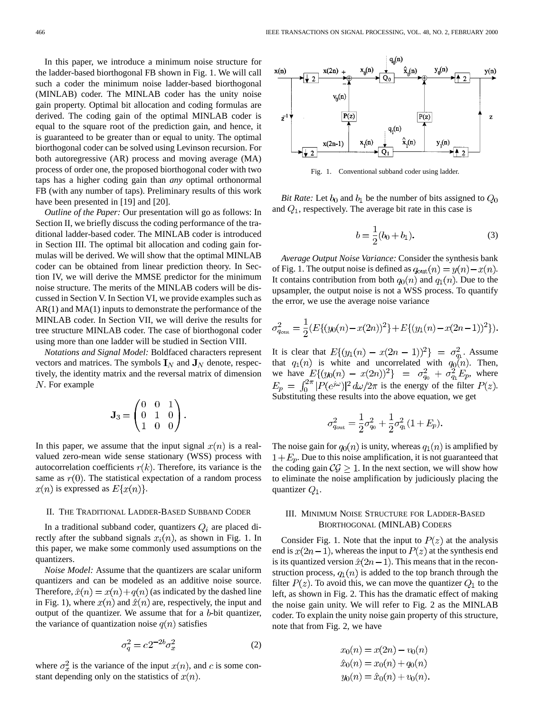In this paper, we introduce a minimum noise structure for the ladder-based biorthogonal FB shown in Fig. 1. We will call such a coder the minimum noise ladder-based biorthogonal (MINLAB) coder. The MINLAB coder has the unity noise gain property. Optimal bit allocation and coding formulas are derived. The coding gain of the optimal MINLAB coder is equal to the square root of the prediction gain, and hence, it is guaranteed to be greater than or equal to unity. The optimal biorthogonal coder can be solved using Levinson recursion. For both autoregressive (AR) process and moving average (MA) process of order one, the proposed biorthogonal coder with two taps has a higher coding gain than *any* optimal orthonormal FB (with any number of taps). Preliminary results of this work have been presented in [19] and [20].

*Outline of the Paper:* Our presentation will go as follows: In Section II, we briefly discuss the coding performance of the traditional ladder-based coder. The MINLAB coder is introduced in Section III. The optimal bit allocation and coding gain formulas will be derived. We will show that the optimal MINLAB coder can be obtained from linear prediction theory. In Section IV, we will derive the MMSE predictor for the minimum noise structure. The merits of the MINLAB coders will be discussed in Section V. In Section VI, we provide examples such as AR(1) and MA(1) inputs to demonstrate the performance of the MINLAB coder. In Section VII, we will derive the results for tree structure MINLAB coder. The case of biorthogonal coder using more than one ladder will be studied in Section VIII.

*Notations and Signal Model:* Boldfaced characters represent vectors and matrices. The symbols  $I_N$  and  $J_N$  denote, respectively, the identity matrix and the reversal matrix of dimension  $N$ . For example

$$
\mathbf{J}_3 = \begin{pmatrix} 0 & 0 & 1 \\ 0 & 1 & 0 \\ 1 & 0 & 0 \end{pmatrix}.
$$

In this paper, we assume that the input signal  $x(n)$  is a realvalued zero-mean wide sense stationary (WSS) process with autocorrelation coefficients  $r(k)$ . Therefore, its variance is the same as  $r(0)$ . The statistical expectation of a random process  $x(n)$  is expressed as  $E\{x(n)\}.$ 

#### II. THE TRADITIONAL LADDER-BASED SUBBAND CODER

In a traditional subband coder, quantizers  $Q_i$  are placed directly after the subband signals  $x_i(n)$ , as shown in Fig. 1. In this paper, we make some commonly used assumptions on the quantizers.

*Noise Model:* Assume that the quantizers are scalar uniform quantizers and can be modeled as an additive noise source. Therefore,  $\hat{x}(n) = x(n) + q(n)$  (as indicated by the dashed line in Fig. 1), where  $x(n)$  and  $\hat{x}(n)$  are, respectively, the input and output of the quantizer. We assume that for a  $b$ -bit quantizer, the variance of quantization noise  $q(n)$  satisfies

$$
\sigma_q^2 = c 2^{-2b} \sigma_x^2 \tag{2}
$$

where  $\sigma_x^2$  is the variance of the input  $x(n)$ , and c is some constant depending only on the statistics of  $x(n)$ .



Fig. 1. Conventional subband coder using ladder.

*Bit Rate:* Let  $b_0$  and  $b_1$  be the number of bits assigned to  $Q_0$ and  $Q_1$ , respectively. The average bit rate in this case is

$$
b = \frac{1}{2}(b_0 + b_1).
$$
 (3)

*Average Output Noise Variance:* Consider the synthesis bank of Fig. 1. The output noise is defined as  $q_{\text{out}}(n) = y(n) - x(n)$ . It contains contribution from both  $q_0(n)$  and  $q_1(n)$ . Due to the upsampler, the output noise is not a WSS process. To quantify the error, we use the average noise variance

$$
\sigma_{q_{\text{out}}}^2 = \frac{1}{2} \left( E\{ (y_0(n) - x(2n))^2 \} + E\{ (y_1(n) - x(2n-1))^2 \} \right).
$$

It is clear that  $E\{(y_1(n) - x(2n-1))^2\} = \sigma_{q_1}^2$ . Assume that  $q_1(n)$  is white and uncorrelated with  $q_0(n)$ . Then, we have  $E\{(y_0(n) - x(2n))^2\} = \sigma_{a_0}^2 + \sigma_{a_1}^2 E_p$ , where is the energy of the filter  $P(z)$ . Substituting these results into the above equation, we get

$$
\sigma_{q_{\text{out}}}^2 = \frac{1}{2}\sigma_{q_0}^2 + \frac{1}{2}\sigma_{q_1}^2(1+E_p).
$$

The noise gain for  $q_0(n)$  is unity, whereas  $q_1(n)$  is amplified by  $1+E_p$ . Due to this noise amplification, it is not guaranteed that the coding gain  $C\mathcal{G} \geq 1$ . In the next section, we will show how to eliminate the noise amplification by judiciously placing the quantizer  $Q_1$ .

## III. MINIMUM NOISE STRUCTURE FOR LADDER-BASED BIORTHOGONAL (MINLAB) CODERS

Consider Fig. 1. Note that the input to  $P(z)$  at the analysis end is  $x(2n-1)$ , whereas the input to  $P(z)$  at the synthesis end is its quantized version  $\hat{x}(2n-1)$ . This means that in the reconstruction process,  $q_1(n)$  is added to the top branch through the filter  $P(z)$ . To avoid this, we can move the quantizer  $Q_1$  to the left, as shown in Fig. 2. This has the dramatic effect of making the noise gain unity. We will refer to Fig. 2 as the MINLAB coder. To explain the unity noise gain property of this structure, note that from Fig. 2, we have

$$
x_0(n) = x(2n) - v_0(n)
$$
  

$$
\hat{x}_0(n) = x_0(n) + q_0(n)
$$
  

$$
y_0(n) = \hat{x}_0(n) + v_0(n).
$$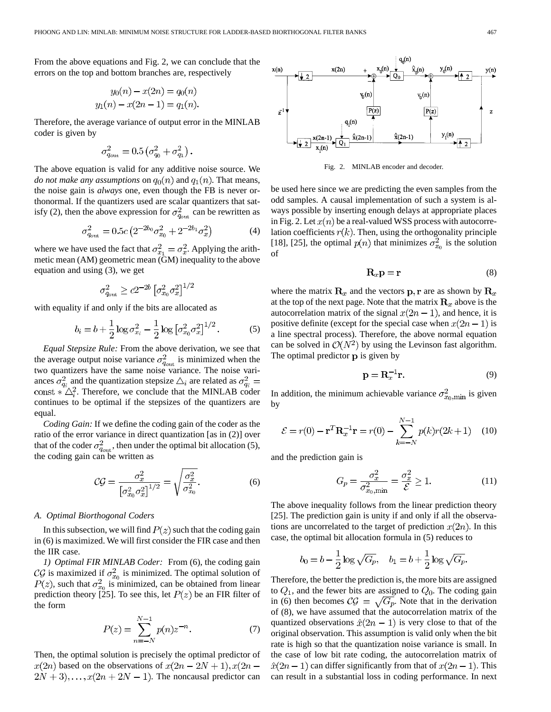From the above equations and Fig. 2, we can conclude that the errors on the top and bottom branches are, respectively

$$
y_0(n) - x(2n) = q_0(n)
$$
  

$$
y_1(n) - x(2n - 1) = q_1(n).
$$

Therefore, the average variance of output error in the MINLAB coder is given by

$$
\sigma^2_{q_{\rm out}}=0.5\left(\sigma^2_{q_0}+\sigma^2_{q_1}\right).
$$

The above equation is valid for any additive noise source. We *do not make any assumptions* on  $q_0(n)$  and  $q_1(n)$ . That means, the noise gain is *always* one, even though the FB is never orthonormal. If the quantizers used are scalar quantizers that satisfy (2), then the above expression for  $\sigma_{q_{\text{out}}}^2$  can be rewritten as

$$
\sigma_{q_{\text{out}}}^2 = 0.5c \left( 2^{-2b_0} \sigma_{x_0}^2 + 2^{-2b_1} \sigma_x^2 \right) \tag{4}
$$

where we have used the fact that  $\sigma_{x_1}^2 = \sigma_x^2$ . Applying the arithmetic mean (AM) geometric mean (GM) inequality to the above equation and using (3), we get

$$
\sigma_{q_{\text{out}}}^2 \ge c2^{-2b} \left[ \sigma_{x_0}^2 \sigma_x^2 \right]^{1/2}
$$

with equality if and only if the bits are allocated as

$$
b_i = b + \frac{1}{2} \log \sigma_{x_i}^2 - \frac{1}{2} \log \left[ \sigma_{x_0}^2 \sigma_x^2 \right]^{1/2}.
$$
 (5)

*Equal Stepsize Rule:* From the above derivation, we see that the average output noise variance  $\sigma_{q_{\text{out}}}^2$  is minimized when the two quantizers have the same noise variance. The noise variances  $\sigma_{a_i}^2$  and the quantization stepsize  $\Delta_i$  are related as . Therefore, we conclude that the MINLAB coder continues to be optimal if the stepsizes of the quantizers are equal.

*Coding Gain:* If we define the coding gain of the coder as the ratio of the error variance in direct quantization [as in (2)] over that of the coder  $\sigma_{q_{\text{out}}}^2$ , then under the optimal bit allocation (5), the coding gain can be written as

$$
C\mathcal{G} = \frac{\sigma_x^2}{\left[\sigma_{x_0}^2 \sigma_x^2\right]^{1/2}} = \sqrt{\frac{\sigma_x^2}{\sigma_{x_0}^2}}.
$$
 (6)

## *A. Optimal Biorthogonal Coders*

In this subsection, we will find  $P(z)$  such that the coding gain in (6) is maximized. We will first consider the FIR case and then the IIR case.

*1) Optimal FIR MINLAB Coder:* From (6), the coding gain CG is maximized if  $\sigma_{x_0}^2$  is minimized. The optimal solution of , such that  $\sigma_{x_0}^2$  is minimized, can be obtained from linear prediction theory [25]. To see this, let  $P(z)$  be an FIR filter of the form

$$
P(z) = \sum_{n=-N}^{N-1} p(n) z^{-n}.
$$
 (7)

Then, the optimal solution is precisely the optimal predictor of  $x(2n)$  based on the observations of  $x(2n-2N+1), x(2n 2N + 3$ ,...,  $x(2n + 2N - 1)$ . The noncausal predictor can



Fig. 2. MINLAB encoder and decoder.

be used here since we are predicting the even samples from the odd samples. A causal implementation of such a system is always possible by inserting enough delays at appropriate places in Fig. 2. Let  $x(n)$  be a real-valued WSS process with autocorrelation coefficients  $r(k)$ . Then, using the orthogonality principle [18], [25], the optimal  $p(n)$  that minimizes  $\sigma_{x_0}^2$  is the solution of

$$
\mathbf{R}_x \mathbf{p} = \mathbf{r} \tag{8}
$$

where the matrix  $\mathbf{R}_x$  and the vectors  $\mathbf{p}, \mathbf{r}$  are as shown by  $\mathbf{R}_x$ at the top of the next page. Note that the matrix  $\mathbf{R}_x$  above is the autocorrelation matrix of the signal  $x(2n - 1)$ , and hence, it is positive definite (except for the special case when  $x(2n - 1)$  is a line spectral process). Therefore, the above normal equation can be solved in  $\mathcal{O}(N^2)$  by using the Levinson fast algorithm. The optimal predictor  $\bf{p}$  is given by

$$
\mathbf{p} = \mathbf{R}_x^{-1} \mathbf{r}.\tag{9}
$$

In addition, the minimum achievable variance  $\sigma_{x_0,\text{min}}^2$  is given by

$$
\mathcal{E} = r(0) - \mathbf{r}^T \mathbf{R}_x^{-1} \mathbf{r} = r(0) - \sum_{k=-N}^{N-1} p(k)r(2k+1) \quad (10)
$$

and the prediction gain is

$$
G_p = \frac{\sigma_x^2}{\sigma_{x_0,\min}^2} = \frac{\sigma_x^2}{\mathcal{E}} \ge 1.
$$
 (11)

The above inequality follows from the linear prediction theory [25]. The prediction gain is unity if and only if all the observations are uncorrelated to the target of prediction  $x(2n)$ . In this case, the optimal bit allocation formula in (5) reduces to

$$
b_0 = b - \frac{1}{2} \log \sqrt{G_p}, \quad b_1 = b + \frac{1}{2} \log \sqrt{G_p}.
$$

Therefore, the better the prediction is, the more bits are assigned to  $Q_1$ , and the fewer bits are assigned to  $Q_0$ . The coding gain in (6) then becomes  $\mathcal{CG} = \sqrt{G_p}$ . Note that in the derivation of (8), we have assumed that the autocorrelation matrix of the quantized observations  $\hat{x}(2n - 1)$  is very close to that of the original observation. This assumption is valid only when the bit rate is high so that the quantization noise variance is small. In the case of low bit rate coding, the autocorrelation matrix of  $\hat{x}(2n-1)$  can differ significantly from that of  $x(2n-1)$ . This can result in a substantial loss in coding performance. In next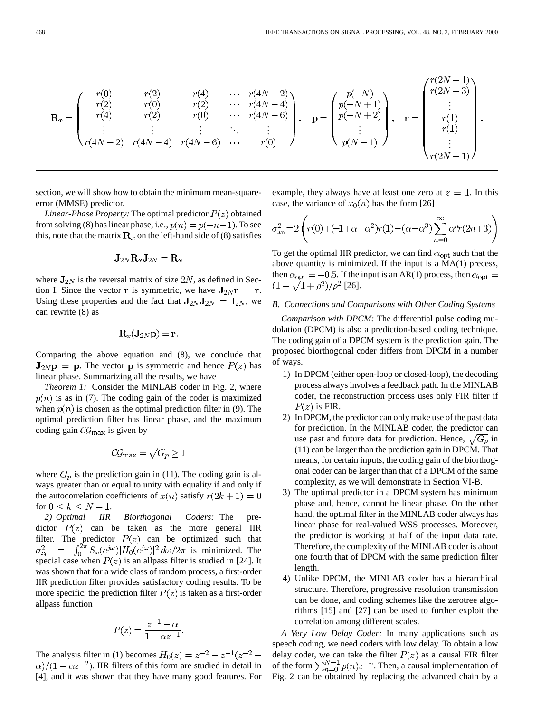$$
\mathbf{R}_{x} = \begin{pmatrix} r(0) & r(2) & r(4) & \cdots & r(4N-2) \\ r(2) & r(0) & r(2) & \cdots & r(4N-4) \\ r(4) & r(2) & r(0) & \cdots & r(4N-6) \\ \vdots & \vdots & \vdots & \ddots & \vdots \\ r(4N-2) & r(4N-4) & r(4N-6) & \cdots & r(0) \end{pmatrix}, \quad \mathbf{p} = \begin{pmatrix} p(-N) \\ p(-N+1) \\ p(-N+2) \\ \vdots \\ p(N-1) \end{pmatrix}, \quad \mathbf{r} = \begin{pmatrix} r(2N-1) \\ r(2N-3) \\ \vdots \\ r(1) \\ r(1) \\ \vdots \\ r(2N-1) \end{pmatrix}.
$$

section, we will show how to obtain the minimum mean-squareerror (MMSE) predictor.

*Linear-Phase Property:* The optimal predictor  $P(z)$  obtained from solving (8) has linear phase, i.e.,  $p(n) = p(-n-1)$ . To see this, note that the matrix  $\mathbf{R}_x$  on the left-hand side of (8) satisfies

$$
\mathbf{J}_{2N}\mathbf{R}_x\mathbf{J}_{2N}=\mathbf{R}_x
$$

where  $\mathbf{J}_{2N}$  is the reversal matrix of size  $2N$ , as defined in Section I. Since the vector **r** is symmetric, we have  $J_{2N}r = r$ . Using these properties and the fact that  $J_{2N}J_{2N} = I_{2N}$ , we can rewrite (8) as

$$
\mathbf{R}_x(\mathbf{J}_{2N}\mathbf{p}) = \mathbf{r}.
$$

Comparing the above equation and (8), we conclude that  $J_{2NP} = p$ . The vector p is symmetric and hence  $P(z)$  has linear phase. Summarizing all the results, we have

*Theorem 1:* Consider the MINLAB coder in Fig. 2, where  $p(n)$  is as in (7). The coding gain of the coder is maximized when  $p(n)$  is chosen as the optimal prediction filter in (9). The optimal prediction filter has linear phase, and the maximum coding gain  $\mathcal{CG}_{\text{max}}$  is given by

$$
\mathcal{CG}_{\max}=\sqrt{G_p}\geq 1
$$

where  $G_p$  is the prediction gain in (11). The coding gain is always greater than or equal to unity with equality if and only if the autocorrelation coefficients of  $x(n)$  satisfy  $r(2k+1) = 0$ for  $0 \leq k \leq N-1$ .

*2) Optimal IIR Biorthogonal Coders:* The predictor  $P(z)$  can be taken as the more general IIR filter. The predictor  $P(z)$  can be optimized such that is minimized. The special case when  $P(z)$  is an allpass filter is studied in [24]. It was shown that for a wide class of random process, a first-order IIR prediction filter provides satisfactory coding results. To be more specific, the prediction filter  $P(z)$  is taken as a first-order allpass function

$$
P(z) = \frac{z^{-1} - \alpha}{1 - \alpha z^{-1}}.
$$

The analysis filter in (1) becomes  $H_0(z) = z^{-2} - z^{-1}(z^{-2} - z^{-1})$  $\alpha$ /(1 –  $\alpha z^{-2}$ ). IIR filters of this form are studied in detail in [4], and it was shown that they have many good features. For example, they always have at least one zero at  $z = 1$ . In this case, the variance of  $x_0(n)$  has the form [26]

$$
\sigma_{x_0}^2 = 2\left(r(0) + (-1 + \alpha + \alpha^2)r(1) - (\alpha - \alpha^3) \sum_{n=0}^{\infty} \alpha^n r(2n+3)\right)
$$

To get the optimal IIR predictor, we can find  $\alpha_{opt}$  such that the above quantity is minimized. If the input is a MA(1) precess, then  $\alpha_{opt} = -0.5$ . If the input is an AR(1) process, then  $\alpha_{opt} =$  $(1-\sqrt{1+\rho^2})/\rho^2$  [26].

#### *B. Connections and Comparisons with Other Coding Systems*

*Comparison with DPCM:* The differential pulse coding mudolation (DPCM) is also a prediction-based coding technique. The coding gain of a DPCM system is the prediction gain. The proposed biorthogonal coder differs from DPCM in a number of ways.

- 1) In DPCM (either open-loop or closed-loop), the decoding process always involves a feedback path. In the MINLAB coder, the reconstruction process uses only FIR filter if  $P(z)$  is FIR.
- 2) In DPCM, the predictor can only make use of the past data for prediction. In the MINLAB coder, the predictor can use past and future data for prediction. Hence,  $\sqrt{G_p}$  in (11) can be larger than the prediction gain in DPCM. That means, for certain inputs, the coding gain of the biorthogonal coder can be larger than that of a DPCM of the same complexity, as we will demonstrate in Section VI-B.
- 3) The optimal predictor in a DPCM system has minimum phase and, hence, cannot be linear phase. On the other hand, the optimal filter in the MINLAB coder always has linear phase for real-valued WSS processes. Moreover, the predictor is working at half of the input data rate. Therefore, the complexity of the MINLAB coder is about one fourth that of DPCM with the same prediction filter length.
- 4) Unlike DPCM, the MINLAB coder has a hierarchical structure. Therefore, progressive resolution transmission can be done, and coding schemes like the zerotree algorithms [15] and [27] can be used to further exploit the correlation among different scales.

*A Very Low Delay Coder:* In many applications such as speech coding, we need coders with low delay. To obtain a low delay coder, we can take the filter  $P(z)$  as a causal FIR filter of the form  $\sum_{n=0}^{N-1} p(n) z^{-n}$ . Then, a causal implementation of Fig. 2 can be obtained by replacing the advanced chain by a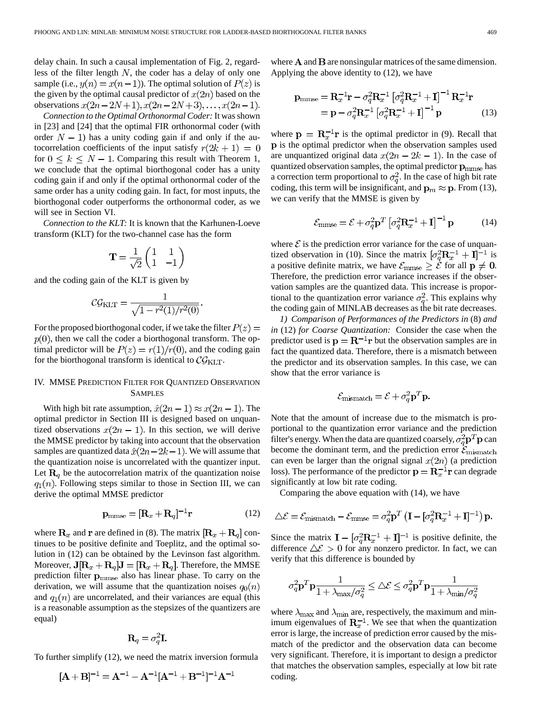delay chain. In such a causal implementation of Fig. 2, regardless of the filter length  $N$ , the coder has a delay of only one sample (i.e.,  $y(n) = x(n-1)$ ). The optimal solution of  $P(z)$  is the given by the optimal causal predictor of  $x(2n)$  based on the observations  $x(2n-2N+1), x(2n-2N+3), \ldots, x(2n-1)$ .

*Connection to the Optimal Orthonormal Coder:* It was shown in [23] and [24] that the optimal FIR orthonormal coder (with order  $N - 1$ ) has a unity coding gain if and only if the autocorrelation coefficients of the input satisfy  $r(2k+1) = 0$ for  $0 \leq k \leq N-1$ . Comparing this result with Theorem 1, we conclude that the optimal biorthogonal coder has a unity coding gain if and only if the optimal orthonormal coder of the same order has a unity coding gain. In fact, for most inputs, the biorthogonal coder outperforms the orthonormal coder, as we will see in Section VI.

*Connection to the KLT:* It is known that the Karhunen-Loeve transform (KLT) for the two-channel case has the form

$$
\mathbf{T} = \frac{1}{\sqrt{2}} \begin{pmatrix} 1 & 1 \\ 1 & -1 \end{pmatrix}
$$

and the coding gain of the KLT is given by

$$
\mathcal{CG}_{\text{KLT}} = \frac{1}{\sqrt{1 - r^2(1)/r^2(0)}}.
$$

For the proposed biorthogonal coder, if we take the filter  $P(z) =$  $p(0)$ , then we call the coder a biorthogonal transform. The optimal predictor will be  $P(z) = r(1)/r(0)$ , and the coding gain for the biorthogonal transform is identical to  $\mathcal{CG}_{\text{KLT}}$ .

# IV. MMSE PREDICTION FILTER FOR QUANTIZED OBSERVATION SAMPLES

With high bit rate assumption,  $\hat{x}(2n-1) \approx x(2n-1)$ . The optimal predictor in Section III is designed based on unquantized observations  $x(2n - 1)$ . In this section, we will derive the MMSE predictor by taking into account that the observation samples are quantized data  $\hat{x}(2n-2k-1)$ . We will assume that the quantization noise is uncorrelated with the quantizer input. Let  $\mathbf{R}_q$  be the autocorrelation matrix of the quantization noise  $q_1(n)$ . Following steps similar to those in Section III, we can derive the optimal MMSE predictor

$$
\mathbf{p}_{\text{mmse}} = [\mathbf{R}_x + \mathbf{R}_q]^{-1} \mathbf{r} \tag{12}
$$

where  $\mathbf{R}_x$  and **r** are defined in (8). The matrix  $[\mathbf{R}_x + \mathbf{R}_q]$  continues to be positive definite and Toeplitz, and the optimal solution in (12) can be obtained by the Levinson fast algorithm. Moreover,  $\mathbf{J}[\mathbf{R}_x + \mathbf{R}_q] \mathbf{J} = [\mathbf{R}_x + \mathbf{R}_q]$ . Therefore, the MMSE prediction filter  $p_{\text{mmse}}$  also has linear phase. To carry on the derivation, we will assume that the quantization noises  $q_0(n)$ and  $q_1(n)$  are uncorrelated, and their variances are equal (this is a reasonable assumption as the stepsizes of the quantizers are equal)

$$
\mathbf{R}_q = \sigma_q^2 \mathbf{I}.
$$

To further simplify (12), we need the matrix inversion formula

$$
[A + B]^{-1} = A^{-1} - A^{-1} [A^{-1} + B^{-1}]^{-1} A^{-1}
$$

where  $A$  and  $B$  are nonsingular matrices of the same dimension. Applying the above identity to (12), we have

$$
\mathbf{p}_{\text{mmse}} = \mathbf{R}_x^{-1} \mathbf{r} - \sigma_q^2 \mathbf{R}_x^{-1} \left[ \sigma_q^2 \mathbf{R}_x^{-1} + \mathbf{I} \right]^{-1} \mathbf{R}_x^{-1} \mathbf{r}
$$

$$
= \mathbf{p} - \sigma_q^2 \mathbf{R}_x^{-1} \left[ \sigma_q^2 \mathbf{R}_x^{-1} + \mathbf{I} \right]^{-1} \mathbf{p}
$$
(13)

where  $p = R<sub>r</sub><sup>-1</sup>r$  is the optimal predictor in (9). Recall that p is the optimal predictor when the observation samples used are unquantized original data  $x(2n - 2k - 1)$ . In the case of quantized observation samples, the optimal predictor  $\mathbf{p}_{\text{mmse}}$  has a correction term proportional to  $\sigma_q^2$ . In the case of high bit rate coding, this term will be insignificant, and  $\mathbf{p}_m \approx \mathbf{p}$ . From (13), we can verify that the MMSE is given by

$$
\mathcal{E}_{\text{mmse}} = \mathcal{E} + \sigma_q^2 \mathbf{p}^T \left[ \sigma_q^2 \mathbf{R}_x^{-1} + \mathbf{I} \right]^{-1} \mathbf{p} \tag{14}
$$

where  $\mathcal E$  is the prediction error variance for the case of unquantized observation in (10). Since the matrix  $[\sigma_a^2 \mathbf{R}_x^{-1} + \mathbf{I}]^{-1}$  is a positive definite matrix, we have  $\mathcal{E}_{mmse} \geq \dot{\mathcal{E}}$  for all  $\mathbf{p} \neq \mathbf{0}$ . Therefore, the prediction error variance increases if the observation samples are the quantized data. This increase is proportional to the quantization error variance  $\sigma_q^2$ . This explains why the coding gain of MINLAB decreases as the bit rate decreases.

*1) Comparison of Performances of the Predictors in* (8) *and in* (12) *for Coarse Quantization:* Consider the case when the predictor used is  $p = R^{-1}r$  but the observation samples are in fact the quantized data. Therefore, there is a mismatch between the predictor and its observation samples. In this case, we can show that the error variance is

$$
\mathcal{E}_{\text{mismatch}} = \mathcal{E} + \sigma_q^2 \mathbf{p}^T \mathbf{p}.
$$

Note that the amount of increase due to the mismatch is proportional to the quantization error variance and the prediction filter's energy. When the data are quantized coarsely,  $\sigma_q^2 \mathbf{p}^T \mathbf{p}$  can become the dominant term, and the prediction error  $\mathcal{E}_{\text{mismatch}}$ can even be larger than the orignal signal  $x(2n)$  (a prediction loss). The performance of the predictor  $p = R<sub>x</sub><sup>-1</sup>r$  can degrade significantly at low bit rate coding.

Comparing the above equation with (14), we have

$$
\Delta \mathcal{E} = \mathcal{E}_{\text{mismatch}} - \mathcal{E}_{\text{mmse}} = \sigma_q^2 \mathbf{p}^T \left( \mathbf{I} - \left[ \sigma_q^2 \mathbf{R}_x^{-1} + \mathbf{I} \right]^{-1} \right) \mathbf{p}.
$$

Since the matrix  $\mathbf{I} - [\sigma_q^2 \mathbf{R}_x^{-1} + \mathbf{I}]^{-1}$  is positive definite, the difference  $\Delta \mathcal{E} > 0$  for any nonzero predictor. In fact, we can verify that this difference is bounded by

$$
\sigma_q^2 \mathbf{p}^T \mathbf{p} \frac{1}{1+\lambda_{\max}/\sigma_q^2} \leq \Delta \mathcal{E} \leq \sigma_q^2 \mathbf{p}^T \mathbf{p} \frac{1}{1+\lambda_{\min}/\sigma_q^2}
$$

where  $\lambda_{\text{max}}$  and  $\lambda_{\text{min}}$  are, respectively, the maximum and minimum eigenvalues of  $R_x^{-1}$ . We see that when the quantization error is large, the increase of prediction error caused by the mismatch of the predictor and the observation data can become very significant. Therefore, it is important to design a predictor that matches the observation samples, especially at low bit rate coding.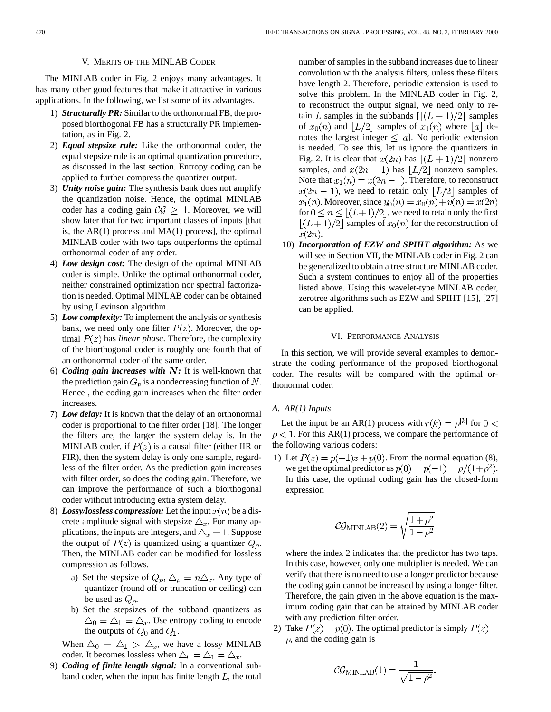## V. MERITS OF THE MINLAB CODER

The MINLAB coder in Fig. 2 enjoys many advantages. It has many other good features that make it attractive in various applications. In the following, we list some of its advantages.

- 1) *Structurally PR:* Similar to the orthonormal FB, the proposed biorthogonal FB has a structurally PR implementation, as in Fig. 2.
- 2) *Equal stepsize rule:* Like the orthonormal coder, the equal stepsize rule is an optimal quantization procedure, as discussed in the last section. Entropy coding can be applied to further compress the quantizer output.
- 3) *Unity noise gain:* The synthesis bank does not amplify the quantization noise. Hence, the optimal MINLAB coder has a coding gain  $C\mathcal{G} \geq 1$ . Moreover, we will show later that for two important classes of inputs [that is, the  $AR(1)$  process and  $MA(1)$  process], the optimal MINLAB coder with two taps outperforms the optimal orthonormal coder of any order.
- 4) *Low design cost:* The design of the optimal MINLAB coder is simple. Unlike the optimal orthonormal coder, neither constrained optimization nor spectral factorization is needed. Optimal MINLAB coder can be obtained by using Levinson algorithm.
- 5) *Low complexity:* To implement the analysis or synthesis bank, we need only one filter  $P(z)$ . Moreover, the optimal  $P(z)$  has *linear phase*. Therefore, the complexity of the biorthogonal coder is roughly one fourth that of an orthonormal coder of the same order.
- 6) *Coding gain increases with*  $N$ : It is well-known that the prediction gain  $G_p$  is a nondecreasing function of N. Hence , the coding gain increases when the filter order increases.
- 7) *Low delay:* It is known that the delay of an orthonormal coder is proportional to the filter order [18]. The longer the filters are, the larger the system delay is. In the MINLAB coder, if  $P(z)$  is a causal filter (either IIR or FIR), then the system delay is only one sample, regardless of the filter order. As the prediction gain increases with filter order, so does the coding gain. Therefore, we can improve the performance of such a biorthogonal coder without introducing extra system delay.
- 8) *Lossy/lossless compression:* Let the input  $x(n)$  be a discrete amplitude signal with stepsize  $\triangle_x$ . For many applications, the inputs are integers, and  $\Delta_x = 1$ . Suppose the output of  $P(z)$  is quantized using a quantizer  $Q_p$ . Then, the MINLAB coder can be modified for lossless compression as follows.
	- a) Set the stepsize of  $Q_p$ ,  $\Delta_p = n \Delta_x$ . Any type of quantizer (round off or truncation or ceiling) can be used as  $Q_p$ .
	- b) Set the stepsizes of the subband quantizers as  $\Delta_0 = \Delta_1 = \Delta_x$ . Use entropy coding to encode the outputs of  $Q_0$  and  $Q_1$ .

When  $\Delta_0 = \Delta_1 > \Delta_x$ , we have a lossy MINLAB coder. It becomes lossless when  $\triangle_0 = \triangle_1 = \triangle_x$ .

9) *Coding of finite length signal:* In a conventional subband coder, when the input has finite length  $L$ , the total

number of samples in the subband increases due to linear convolution with the analysis filters, unless these filters have length 2. Therefore, periodic extension is used to solve this problem. In the MINLAB coder in Fig. 2, to reconstruct the output signal, we need only to retain L samples in the subbands  $\lfloor (L+1)/2 \rfloor$  samples of  $x_0(n)$  and  $|L/2|$  samples of  $x_1(n)$  where  $|a|$  denotes the largest integer  $\leq a$ . No periodic extension is needed. To see this, let us ignore the quantizers in Fig. 2. It is clear that  $x(2n)$  has  $|(L+1)/2|$  nonzero samples, and  $x(2n - 1)$  has  $|L/2|$  nonzero samples. Note that  $x_1(n) = x(2n - 1)$ . Therefore, to reconstruct  $x(2n - 1)$ , we need to retain only  $|L/2|$  samples of  $x_1(n)$ . Moreover, since  $y_0(n) = x_0(n) + v(n) = x(2n)$ for  $0 \le n \le \lfloor (L+1)/2 \rfloor$ , we need to retain only the first  $|(L+1)/2|$  samples of  $x_0(n)$  for the reconstruction of  $x(2n)$ .

10) *Incorporation of EZW and SPIHT algorithm:* As we will see in Section VII, the MINLAB coder in Fig. 2 can be generalized to obtain a tree structure MINLAB coder. Such a system continues to enjoy all of the properties listed above. Using this wavelet-type MINLAB coder, zerotree algorithms such as EZW and SPIHT [15], [27] can be applied.

# VI. PERFORMANCE ANALYSIS

In this section, we will provide several examples to demonstrate the coding performance of the proposed biorthogonal coder. The results will be compared with the optimal orthonormal coder.

## *A. AR(1) Inputs*

Let the input be an AR(1) process with  $r(k) = \rho^{|k|}$  for  $0 <$  $\rho$  < 1. For this AR(1) process, we compare the performance of the following various coders:

1) Let  $P(z) = p(-1)z + p(0)$ . From the normal equation (8), we get the optimal predictor as  $p(0) = p(-1) = \rho/(1+\rho^2)$ . In this case, the optimal coding gain has the closed-form expression

$$
C\mathcal{G}_{\text{MINLAB}}(2) = \sqrt{\frac{1+\rho^2}{1-\rho^2}}
$$

where the index 2 indicates that the predictor has two taps. In this case, however, only one multiplier is needed. We can verify that there is no need to use a longer predictor because the coding gain cannot be increased by using a longer filter. Therefore, the gain given in the above equation is the maximum coding gain that can be attained by MINLAB coder with any prediction filter order.

2) Take  $P(z) = p(0)$ . The optimal predictor is simply  $P(z) =$  $\rho$ , and the coding gain is

$$
C\mathcal{G}_{\text{MINLAB}}(1) = \frac{1}{\sqrt{1 - \rho^2}}
$$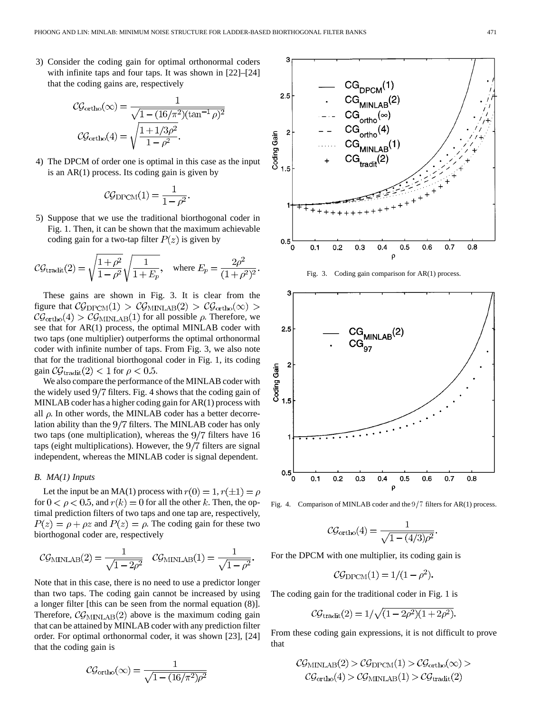3) Consider the coding gain for optimal orthonormal coders with infinite taps and four taps. It was shown in [22]–[24] that the coding gains are, respectively

$$
C\mathcal{G}_{\text{ortho}}(\infty) = \frac{1}{\sqrt{1 - (16/\pi^2)(\tan^{-1}\rho)^2}}
$$

$$
C\mathcal{G}_{\text{ortho}}(4) = \sqrt{\frac{1 + 1/3\rho^2}{1 - \rho^2}}.
$$

4) The DPCM of order one is optimal in this case as the input is an AR(1) process. Its coding gain is given by

$$
\mathcal{CG}_{\text{DPCM}}(1) = \frac{1}{1 - \rho^2}
$$

5) Suppose that we use the traditional biorthogonal coder in Fig. 1. Then, it can be shown that the maximum achievable coding gain for a two-tap filter  $P(z)$  is given by

$$
C\mathcal{G}_{\text{tradit}}(2) = \sqrt{\frac{1+\rho^2}{1-\rho^2}} \sqrt{\frac{1}{1+E_p}}, \text{ where } E_p = \frac{2\rho^2}{(1+\rho^2)^2}
$$

These gains are shown in Fig. 3. It is clear from the figure that  $\mathcal{CG}_{\text{DPCM}}(1) > \mathcal{CG}_{\text{MINLAB}}(2) > \mathcal{CG}_{\text{ortho}}(\infty) >$  $\mathcal{CG}_{\text{ortho}}(4) > \mathcal{CG}_{\text{MINLAB}}(1)$  for all possible  $\rho$ . Therefore, we see that for AR(1) process, the optimal MINLAB coder with two taps (one multiplier) outperforms the optimal orthonormal coder with infinite number of taps. From Fig. 3, we also note that for the traditional biorthogonal coder in Fig. 1, its coding gain  $\mathcal{CG}_{\text{tradit}}(2) < 1$  for  $\rho < 0.5$ .

We also compare the performance of the MINLAB coder with the widely used  $9/7$  filters. Fig. 4 shows that the coding gain of MINLAB coder has a higher coding gain for AR(1) process with all  $\rho$ . In other words, the MINLAB coder has a better decorrelation ability than the  $9/7$  filters. The MINLAB coder has only two taps (one multiplication), whereas the  $9/7$  filters have 16 taps (eight multiplications). However, the  $9/7$  filters are signal independent, whereas the MINLAB coder is signal dependent.

## *B. MA(1) Inputs*

Let the input be an MA(1) process with  $r(0) = 1, r(\pm 1) = \rho$ for  $0 < \rho < 0.5$ , and  $r(k) = 0$  for all the other k. Then, the optimal prediction filters of two taps and one tap are, respectively,  $P(z) = \rho + \rho z$  and  $P(z) = \rho$ . The coding gain for these two biorthogonal coder are, respectively

$$
C\mathcal{G}_{\text{MINLAB}}(2) = \frac{1}{\sqrt{1 - 2\rho^2}} \quad \mathcal{CG}_{\text{MINLAB}}(1) = \frac{1}{\sqrt{1 - \rho^2}}.
$$

Note that in this case, there is no need to use a predictor longer than two taps. The coding gain cannot be increased by using a longer filter [this can be seen from the normal equation (8)]. Therefore,  $\mathcal{CG}_{\text{MINLAB}}(2)$  above is the maximum coding gain that can be attained by MINLAB coder with any prediction filter order. For optimal orthonormal coder, it was shown [23], [24] that the coding gain is

$$
C\mathcal{G}_{\text{ortho}}(\infty) = \frac{1}{\sqrt{1 - (16/\pi^2)\rho^2}}
$$



Fig. 3. Coding gain comparison for AR(1) process.



Fig. 4. Comparison of MINLAB coder and the  $9/7$  filters for AR(1) process.

$$
\mathcal{CG}_{\text{ortho}}(4) = \frac{1}{\sqrt{1-(4/3)\rho^2}}
$$

For the DPCM with one multiplier, its coding gain is

$$
\mathcal{CG}_{\text{DPCM}}(1) = 1/(1 - \rho^2)
$$

The coding gain for the traditional coder in Fig. 1 is

$$
C\mathcal{G}_{\text{tradit}}(2) = 1/\sqrt{(1 - 2\rho^2)(1 + 2\rho^2)}
$$

From these coding gain expressions, it is not difficult to prove that

$$
\mathcal{CG}_{\text{MINLAB}}(2) > \mathcal{CG}_{\text{DPCM}}(1) > \mathcal{CG}_{\text{ortho}}(\infty) >
$$
  

$$
\mathcal{CG}_{\text{ortho}}(4) > \mathcal{CG}_{\text{MINLAB}}(1) > \mathcal{CG}_{\text{tradit}}(2)
$$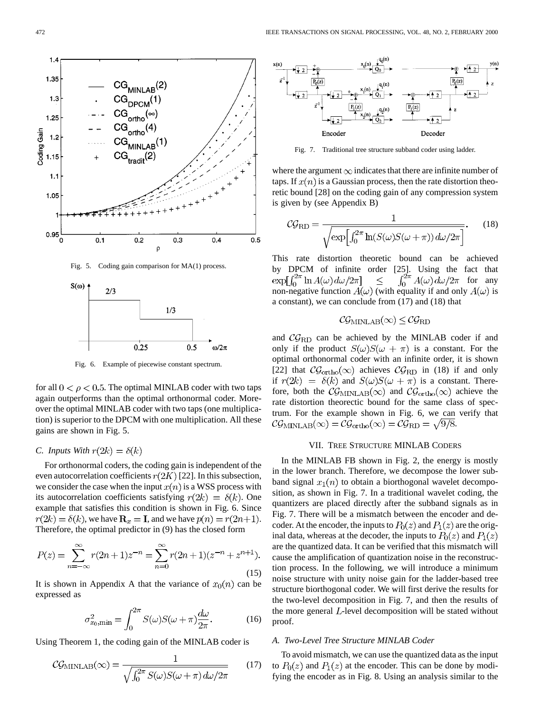

Fig. 6. Example of piecewise constant spectrum.

for all  $0 < \rho < 0.5$ . The optimal MINLAB coder with two taps again outperforms than the optimal orthonormal coder. Moreover the optimal MINLAB coder with two taps (one multiplication) is superior to the DPCM with one multiplication. All these gains are shown in Fig. 5.

# *C. Inputs With*  $r(2k) = \delta(k)$

For orthonormal coders, the coding gain is independent of the even autocorrelation coefficients  $r(2K)$  [22]. In this subsection, we consider the case when the input  $x(n)$  is a WSS process with its autocorrelation coefficients satisfying  $r(2k) = \delta(k)$ . One example that satisfies this condition is shown in Fig. 6. Since  $r(2k) = \delta(k)$ , we have  $\mathbf{R}_x = \mathbf{I}$ , and we have  $p(n) = r(2n+1)$ . Therefore, the optimal predictor in (9) has the closed form

$$
P(z) = \sum_{n=-\infty}^{\infty} r(2n+1)z^{-n} = \sum_{n=0}^{\infty} r(2n+1)(z^{-n} + z^{n+1}).
$$
\n(15)

It is shown in Appendix A that the variance of  $x_0(n)$  can be expressed as

$$
\sigma_{x_0,\min}^2 = \int_0^{2\pi} S(\omega)S(\omega + \pi)\frac{d\omega}{2\pi}.
$$
 (16)

Using Theorem 1, the coding gain of the MINLAB coder is

$$
CGMINLAB(\infty) = \frac{1}{\sqrt{\int_0^{2\pi} S(\omega)S(\omega + \pi) d\omega/2\pi}}
$$
 (17)



Fig. 7. Traditional tree structure subband coder using ladder.

where the argument  $\infty$  indicates that there are infinite number of taps. If  $x(n)$  is a Gaussian process, then the rate distortion theoretic bound [28] on the coding gain of any compression system is given by (see Appendix B)

$$
C\mathcal{G}_{\text{RD}} = \frac{1}{\sqrt{\exp\left[\int_0^{2\pi} \ln(S(\omega)S(\omega+\pi))d\omega/2\pi\right]}}.\tag{18}
$$

This rate distortion theoretic bound can be achieved by DPCM of infinite order [25]. Using the fact that  $\exp[\int_0^{2\pi} \ln A(\omega) d\omega/2\pi] \leq \int_0^{2\pi} A(\omega) d\omega/2\pi$  for any  $\int_0^{2\pi} A(\omega) d\omega / 2\pi$  for any  $\leq$ non-negative function  $A(\omega)$  (with equality if and only  $A(\omega)$  is a constant), we can conclude from (17) and (18) that

$$
\mathcal{C}\mathcal{G}_{\text{MINLAB}}(\infty) \leq \mathcal{C}\mathcal{G}_{\text{RD}}
$$

and  $\mathcal{CG}_{\text{RD}}$  can be achieved by the MINLAB coder if and only if the product  $S(\omega)S(\omega + \pi)$  is a constant. For the optimal orthonormal coder with an infinite order, it is shown [22] that  $\mathcal{CG}_{\text{ortho}}(\infty)$  achieves  $\mathcal{CG}_{\text{RD}}$  in (18) if and only if  $r(2k) = \delta(k)$  and  $S(\omega)S(\omega + \pi)$  is a constant. Therefore, both the  $\mathcal{CG}_{\text{MINLAB}}(\infty)$  and  $\mathcal{CG}_{\text{ortho}}(\infty)$  achieve the rate distortion theorectic bound for the same class of spectrum. For the example shown in Fig. 6, we can verify that  $\mathcal{CG}_{\text{MINLAB}}(\infty) = \mathcal{CG}_{\text{ortho}}(\infty) = \mathcal{CG}_{\text{RD}} = \sqrt{9/8}.$ 

## VII. TREE STRUCTURE MINLAB CODERS

In the MINLAB FB shown in Fig. 2, the energy is mostly in the lower branch. Therefore, we decompose the lower subband signal  $x_1(n)$  to obtain a biorthogonal wavelet decomposition, as shown in Fig. 7. In a traditional wavelet coding, the quantizers are placed directly after the subband signals as in Fig. 7. There will be a mismatch between the encoder and decoder. At the encoder, the inputs to  $P_0(z)$  and  $P_1(z)$  are the original data, whereas at the decoder, the inputs to  $P_0(z)$  and  $P_1(z)$ are the quantized data. It can be verified that this mismatch will cause the amplification of quantization noise in the reconstruction process. In the following, we will introduce a minimum noise structure with unity noise gain for the ladder-based tree structure biorthogonal coder. We will first derive the results for the two-level decomposition in Fig. 7, and then the results of the more general  $L$ -level decomposition will be stated without proof.

## *A. Two-Level Tree Structure MINLAB Coder*

To avoid mismatch, we can use the quantized data as the input to  $P_0(z)$  and  $P_1(z)$  at the encoder. This can be done by modifying the encoder as in Fig. 8. Using an analysis similar to the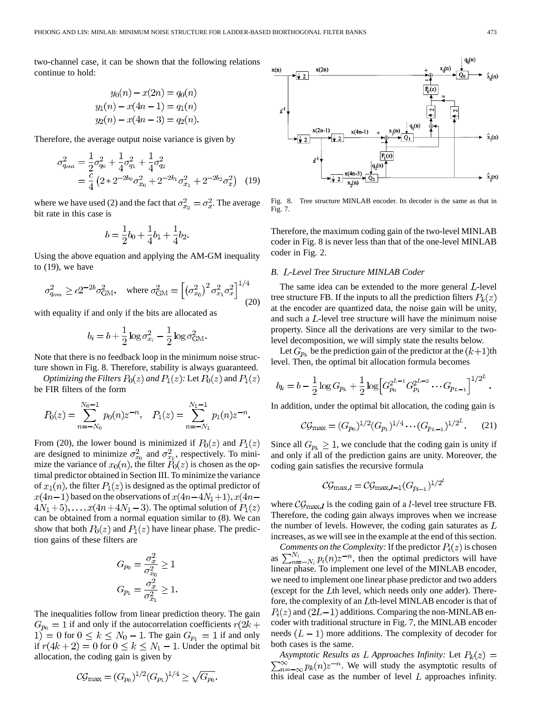two-channel case, it can be shown that the following relations continue to hold:

$$
y_0(n) - x(2n) = q_0(n)
$$
  

$$
y_1(n) - x(4n - 1) = q_1(n)
$$
  

$$
y_2(n) - x(4n - 3) = q_2(n)
$$

Therefore, the average output noise variance is given by

$$
\sigma_{q_{\text{out}}}^2 = \frac{1}{2}\sigma_{q_0}^2 + \frac{1}{4}\sigma_{q_1}^2 + \frac{1}{4}\sigma_{q_2}^2
$$
  
=  $\frac{c}{4} \left(2 \times 2^{-2b_0} \sigma_{x_0}^2 + 2^{-2b_1} \sigma_{x_1}^2 + 2^{-2b_2} \sigma_{x}^2\right)$  (19)

where we have used (2) and the fact that  $\sigma_{x_2}^2 = \sigma_x^2$ . The average bit rate in this case is

$$
b = \frac{1}{2}b_0 + \frac{1}{4}b_1 + \frac{1}{4}b_2.
$$

Using the above equation and applying the AM-GM inequality to (19), we have

$$
\sigma_{q_{\text{out}}}^2 \ge c2^{-2b}\sigma_{\text{GM}}^2
$$
, where  $\sigma_{\text{GM}}^2 = \left[ \left(\sigma_{x_0}^2\right)^2 \sigma_{x_1}^2 \sigma_x^2 \right]^{1/4}$  (20)

with equality if and only if the bits are allocated as

$$
b_i = b + \frac{1}{2}\log \sigma_{x_i}^2 - \frac{1}{2}\log \sigma_{\text{GM}}^2.
$$

Note that there is no feedback loop in the minimum noise structure shown in Fig. 8. Therefore, stability is always guaranteed.

*Optimizing the Filters*  $P_0(z)$  *and*  $P_1(z)$ : Let  $P_0(z)$  and  $P_1(z)$ be FIR filters of the form

$$
P_0(z) = \sum_{n=-N_0}^{N_0-1} p_0(n) z^{-n}, \quad P_1(z) = \sum_{n=-N_1}^{N_1-1} p_1(n) z^{-n}.
$$

From (20), the lower bound is minimized if  $P_0(z)$  and  $P_1(z)$ are designed to minimize  $\sigma_{x_0}^2$  and  $\sigma_{x_1}^2$ , respectively. To minimize the variance of  $x_0(n)$ , the filter  $P_0(z)$  is chosen as the optimal predictor obtained in Section III. To minimize the variance of  $x_1(n)$ , the filter  $P_1(z)$  is designed as the optimal predictor of  $x(4n-1)$  based on the observations of  $x(4n-4N_1+1), x(4n 4N_1+5$ ,..., $x(4n+4N_1-3)$ . The optimal solution of  $P_1(z)$ can be obtained from a normal equation similar to (8). We can show that both  $P_0(z)$  and  $P_1(z)$  have linear phase. The prediction gains of these filters are

$$
G_{p_0} = \frac{\sigma_x^2}{\sigma_{x_0}^2} \ge 1
$$
  

$$
G_{p_1} = \frac{\sigma_x^2}{\sigma_{x_1}^2} \ge 1.
$$

 $\overline{2}$ 

The inequalities follow from linear prediction theory. The gain  $G_{p_0} = 1$  if and only if the autocorrelation coefficients  $r(2k + 1)$ 1) = 0 for  $0 \le k \le N_0 - 1$ . The gain  $G_{p_1} = 1$  if and only if  $r(4k+2) = 0$  for  $0 \le k \le N_1 - 1$ . Under the optimal bit allocation, the coding gain is given by

$$
C\mathcal{G}_{\max} = (G_{p_0})^{1/2} (G_{p_1})^{1/4} \ge \sqrt{G_{p_0}}.
$$



Fig. 8. Tree structure MINLAB encoder. Its decoder is the same as that in Fig. 7.

Therefore, the maximum coding gain of the two-level MINLAB coder in Fig. 8 is never less than that of the one-level MINLAB coder in Fig. 2.

## *B. -Level Tree Structure MINLAB Coder*

The same idea can be extended to the more general  $L$ -level tree structure FB. If the inputs to all the prediction filters  $P_k(z)$ at the encoder are quantized data, the noise gain will be unity, and such a  $L$ -level tree structure will have the minimum noise property. Since all the derivations are very similar to the twolevel decomposition, we will simply state the results below.

Let  $G_{p_k}$  be the prediction gain of the predictor at the  $(k+1)$ th level. Then, the optimal bit allocation formula becomes

$$
b_k = b - \frac{1}{2} \log G_{p_k} + \frac{1}{2} \log \left[ G_{p_0}^{2^{L-1}} G_{p_1}^{2^{L-2}} \cdots G_{p_{L-1}} \right]^{1/2^L}.
$$

In addition, under the optimal bit allocation, the coding gain is

$$
C\mathcal{G}_{\text{max}} = (G_{p_0})^{1/2} (G_{p_1})^{1/4} \cdots (G_{p_{L-1}})^{1/2^L}.
$$
 (21)

Since all  $G_{p_k} \geq 1$ , we conclude that the coding gain is unity if and only if all of the prediction gains are unity. Moreover, the coding gain satisfies the recursive formula

$$
\mathcal{CG}_{\max,l}=\mathcal{CG}_{\max,l-1}(G_{p_{l-1}})^{1/2^{e}}
$$

where  $\mathcal{CG}_{\text{max},l}$  is the coding gain of a *l*-level tree structure FB. Therefore, the coding gain always improves when we increase the number of levels. However, the coding gain saturates as  $L$ increases, as we will see in the example at the end of this section.

*Comments on the Complexity:* If the predictor  $P_i(z)$  is chosen as  $\sum_{n=-N_i}^{N_i} p_i(n) z^{-n}$ , then the optimal predictors will have linear phase. To implement one level of the MINLAB encoder, we need to implement one linear phase predictor and two adders (except for the  $L$ th level, which needs only one adder). Therefore, the complexity of an  $L$ th-level MINLAB encoder is that of  $P_i(z)$  and  $(2L-1)$  additions. Comparing the non-MINLAB encoder with traditional structure in Fig. 7, the MINLAB encoder needs  $(L-1)$  more additions. The complexity of decoder for both cases is the same.

*Asymptotic Results as L Approaches Infinity:* Let  $P_k(z) =$  $\sum_{n=-\infty}^{\infty} p_k(n) z^{-n}$ . We will study the asymptotic results of this ideal case as the number of level  $L$  approaches infinity.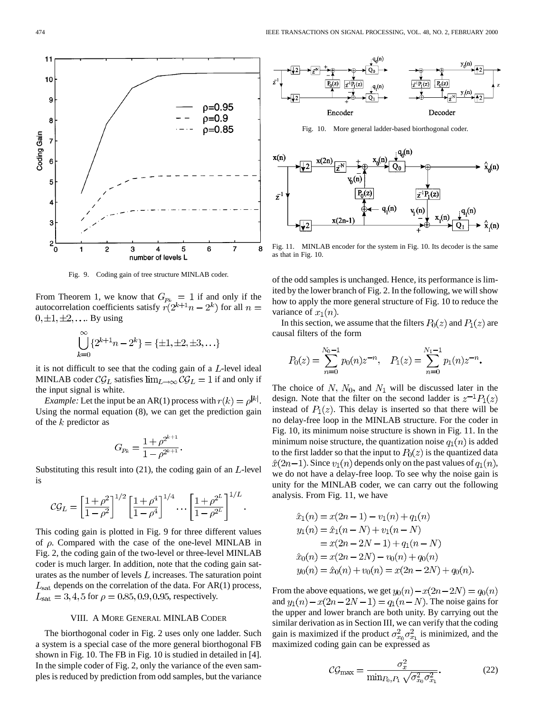

Fig. 9. Coding gain of tree structure MINLAB coder.

From Theorem 1, we know that  $G_{p_k} = 1$  if and only if the autocorrelation coefficients satisfy  $r(2^{k+1}n-2^k)$  for all  $0, \pm 1, \pm 2, \ldots$  By using

$$
\bigcup_{k=0}^{\infty} \{2^{k+1}n - 2^k\} = \{\pm 1, \pm 2, \pm 3, \ldots\}
$$

it is not difficult to see that the coding gain of a  $L$ -level ideal MINLAB coder  $\mathcal{CG}_L$  satisfies  $\lim_{L\to\infty} \mathcal{CG}_L = 1$  if and only if the input signal is white.

*Example:* Let the input be an AR(1) process with  $r(k) = \rho^{|k|}$ . Using the normal equation (8), we can get the prediction gain of the  $k$  predictor as

$$
G_{p_k} = \frac{1 + \rho^{2^{k+1}}}{1 - \rho^{2^{k+1}}}.
$$

Substituting this result into  $(21)$ , the coding gain of an  $L$ -level is

$$
\mathcal{CG}_L = \left[\frac{1+\rho^2}{1-\rho^2}\right]^{1/2} \left[\frac{1+\rho^4}{1-\rho^4}\right]^{1/4} \dots \left[\frac{1+\rho^{2^L}}{1-\rho^{2^L}}\right]^{1/4}
$$

This coding gain is plotted in Fig. 9 for three different values of  $\rho$ . Compared with the case of the one-level MINLAB in Fig. 2, the coding gain of the two-level or three-level MINLAB coder is much larger. In addition, note that the coding gain saturates as the number of levels  $L$  increases. The saturation point  $L_{\text{sat}}$  depends on the correlation of the data. For AR(1) process,  $L_{\text{sat}} = 3, 4, 5$  for  $\rho = 0.85, 0.9, 0.95$ , respectively.

## VIII. A MORE GENERAL MINLAB CODER

The biorthogonal coder in Fig. 2 uses only one ladder. Such a system is a special case of the more general biorthogonal FB shown in Fig. 10. The FB in Fig. 10 is studied in detailed in [4]. In the simple coder of Fig. 2, only the variance of the even samples is reduced by prediction from odd samples, but the variance



Fig. 10. More general ladder-based biorthogonal coder.



Fig. 11. MINLAB encoder for the system in Fig. 10. Its decoder is the same as that in Fig. 10.

of the odd samples is unchanged. Hence, its performance is limited by the lower branch of Fig. 2. In the following, we will show how to apply the more general structure of Fig. 10 to reduce the variance of  $x_1(n)$ .

In this section, we assume that the filters  $P_0(z)$  and  $P_1(z)$  are causal filters of the form

$$
P_0(z) = \sum_{n=0}^{N_0 - 1} p_0(n) z^{-n}, \quad P_1(z) = \sum_{n=0}^{N_1 - 1} p_1(n) z^{-n}.
$$

The choice of N,  $N_0$ , and  $N_1$  will be discussed later in the design. Note that the filter on the second ladder is  $z^{-1}P_1(z)$ instead of  $P_1(z)$ . This delay is inserted so that there will be no delay-free loop in the MINLAB structure. For the coder in Fig. 10, its minimum noise structure is shown in Fig. 11. In the minimum noise structure, the quantization noise  $q_1(n)$  is added to the first ladder so that the input to  $P_0(z)$  is the quantized data  $\hat{x}(2n-1)$ . Since  $v_1(n)$  depends only on the past values of  $q_1(n)$ , we do not have a delay-free loop. To see why the noise gain is unity for the MINLAB coder, we can carry out the following analysis. From Fig. 11, we have

$$
\hat{x}_1(n) = x(2n - 1) - v_1(n) + q_1(n)
$$
  
\n
$$
y_1(n) = \hat{x}_1(n - N) + v_1(n - N)
$$
  
\n
$$
= x(2n - 2N - 1) + q_1(n - N)
$$
  
\n
$$
\hat{x}_0(n) = x(2n - 2N) - v_0(n) + q_0(n)
$$
  
\n
$$
y_0(n) = \hat{x}_0(n) + v_0(n) = x(2n - 2N) + q_0(n)
$$

From the above equations, we get  $y_0(n) - x(2n - 2N) = q_0(n)$ and  $y_1(n) - x(2n - 2N - 1) = q_1(n - N)$ . The noise gains for the upper and lower branch are both unity. By carrying out the similar derivation as in Section III, we can verify that the coding gain is maximized if the product  $\sigma_{x_0}^2 \sigma_{x_1}^2$  is minimized, and the maximized coding gain can be expressed as

$$
C\mathcal{G}_{\text{max}} = \frac{\sigma_x^2}{\min_{P_0, P_1} \sqrt{\sigma_{x_0}^2 \sigma_{x_1}^2}}.
$$
 (22)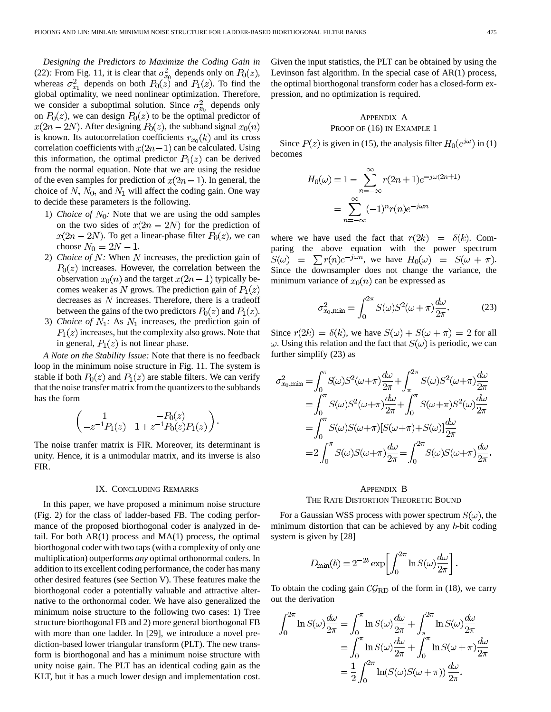*Designing the Predictors to Maximize the Coding Gain in* (22)*:* From Fig. 11, it is clear that  $\sigma_{x_0}^2$  depends only on  $P_0(z)$ , whereas  $\sigma_{x_1}^2$  depends on both  $P_0(z)$  and  $P_1(z)$ . To find the global optimality, we need nonlinear optimization. Therefore, we consider a suboptimal solution. Since  $\sigma_{x_0}^2$  depends only on  $P_0(z)$ , we can design  $P_0(z)$  to be the optimal predictor of  $x(2n-2N)$ . After designing  $P_0(z)$ , the subband signal  $x_0(n)$ is known. Its autocorrelation coefficients  $r_{x_0}(k)$  and its cross correlation coefficients with  $x(2n - 1)$  can be calculated. Using this information, the optimal predictor  $P_1(z)$  can be derived from the normal equation. Note that we are using the residue of the even samples for prediction of  $x(2n - 1)$ . In general, the choice of  $N$ ,  $N_0$ , and  $N_1$  will affect the coding gain. One way to decide these parameters is the following.

- 1) *Choice of*  $N_0$ : Note that we are using the odd samples on the two sides of  $x(2n - 2N)$  for the prediction of  $x(2n-2N)$ . To get a linear-phase filter  $P_0(z)$ , we can choose  $N_0 = 2N - 1$ .
- 2) *Choice of*  $N$ : When  $N$  increases, the prediction gain of  $P_0(z)$  increases. However, the correlation between the observation  $x_0(n)$  and the target  $x(2n - 1)$  typically becomes weaker as N grows. The prediction gain of  $P_1(z)$ decreases as  $N$  increases. Therefore, there is a tradeoff between the gains of the two predictors  $P_0(z)$  and  $P_1(z)$ .
- 3) *Choice of*  $N_1$ : As  $N_1$  increases, the prediction gain of  $P_1(z)$  increases, but the complexity also grows. Note that in general,  $P_1(z)$  is not linear phase.

*A Note on the Stability Issue:* Note that there is no feedback loop in the minimum noise structure in Fig. 11. The system is stable if both  $P_0(z)$  and  $P_1(z)$  are stable filters. We can verify that the noise transfer matrix from the quantizers to the subbands has the form

$$
\begin{pmatrix} 1 & -P_0(z) \\ -z^{-1}P_1(z) & 1+z^{-1}P_0(z)P_1(z) \end{pmatrix}.
$$

The noise tranfer matrix is FIR. Moreover, its determinant is unity. Hence, it is a unimodular matrix, and its inverse is also FIR.

## IX. CONCLUDING REMARKS

In this paper, we have proposed a minimum noise structure (Fig. 2) for the class of ladder-based FB. The coding performance of the proposed biorthogonal coder is analyzed in detail. For both  $AR(1)$  process and  $MA(1)$  process, the optimal biorthogonal coder with two taps (with a complexity of only one multiplication) outperforms *any* optimal orthonormal coders. In addition to its excellent coding performance, the coder has many other desired features (see Section V). These features make the biorthogonal coder a potentially valuable and attractive alternative to the orthonormal coder. We have also generalized the minimum noise structure to the following two cases: 1) Tree structure biorthogonal FB and 2) more general biorthogonal FB with more than one ladder. In [29], we introduce a novel prediction-based lower triangular transform (PLT). The new transform is biorthogonal and has a minimum noise structure with unity noise gain. The PLT has an identical coding gain as the KLT, but it has a much lower design and implementation cost. Given the input statistics, the PLT can be obtained by using the Levinson fast algorithm. In the special case of AR(1) process, the optimal biorthogonal transform coder has a closed-form expression, and no optimization is required.

# APPENDIX A PROOF OF (16) IN EXAMPLE 1

Since  $P(z)$  is given in (15), the analysis filter  $H_0(e^{j\omega})$  in (1) becomes

$$
H_0(\omega) = 1 - \sum_{n=-\infty}^{\infty} r(2n+1)e^{-j\omega(2n+1)}
$$

$$
= \sum_{n=-\infty}^{\infty} (-1)^n r(n)e^{-j\omega n}
$$

where we have used the fact that  $r(2k) = \delta(k)$ . Comparing the above equation with the power spectrum  $S(\omega) = \sum r(n)e^{-j\omega n}$ , we have  $H_0(\omega) = S(\omega + \pi)$ . Since the downsampler does not change the variance, the minimum variance of  $x_0(n)$  can be expressed as

$$
\sigma_{x_0,\min}^2 = \int_0^{2\pi} S(\omega) S^2(\omega + \pi) \frac{d\omega}{2\pi}.
$$
 (23)

Since  $r(2k) = \delta(k)$ , we have  $S(\omega) + S(\omega + \pi) = 2$  for all  $\omega$ . Using this relation and the fact that  $S(\omega)$  is periodic, we can further simplify (23) as

$$
\sigma_{x_0,\min}^2 = \int_0^\pi S(\omega)S^2(\omega + \pi)\frac{d\omega}{2\pi} + \int_\pi^{2\pi} S(\omega)S^2(\omega + \pi)\frac{d\omega}{2\pi}
$$
  
\n
$$
= \int_0^\pi S(\omega)S^2(\omega + \pi)\frac{d\omega}{2\pi} + \int_0^\pi S(\omega + \pi)S^2(\omega)\frac{d\omega}{2\pi}
$$
  
\n
$$
= \int_0^\pi S(\omega)S(\omega + \pi)[S(\omega + \pi) + S(\omega)]\frac{d\omega}{2\pi}
$$
  
\n
$$
= 2\int_0^\pi S(\omega)S(\omega + \pi)\frac{d\omega}{2\pi} = \int_0^{2\pi} S(\omega)S(\omega + \pi)\frac{d\omega}{2\pi}.
$$

# APPENDIX B THE RATE DISTORTION THEORETIC BOUND

For a Gaussian WSS process with power spectrum  $S(\omega)$ , the minimum distortion that can be achieved by any  $b$ -bit coding system is given by [28]

$$
D_{\rm min}(b) = 2^{-2b} \exp \left[ \int_0^{2\pi} \ln S(\omega) \frac{d\omega}{2\pi} \right]
$$

To obtain the coding gain  $\mathcal{CG}_{RD}$  of the form in (18), we carry out the derivation

$$
\int_0^{2\pi} \ln S(\omega) \frac{d\omega}{2\pi} = \int_0^{\pi} \ln S(\omega) \frac{d\omega}{2\pi} + \int_{\pi}^{2\pi} \ln S(\omega) \frac{d\omega}{2\pi}
$$

$$
= \int_0^{\pi} \ln S(\omega) \frac{d\omega}{2\pi} + \int_0^{\pi} \ln S(\omega + \pi) \frac{d\omega}{2\pi}
$$

$$
= \frac{1}{2} \int_0^{2\pi} \ln(S(\omega)S(\omega + \pi)) \frac{d\omega}{2\pi}.
$$